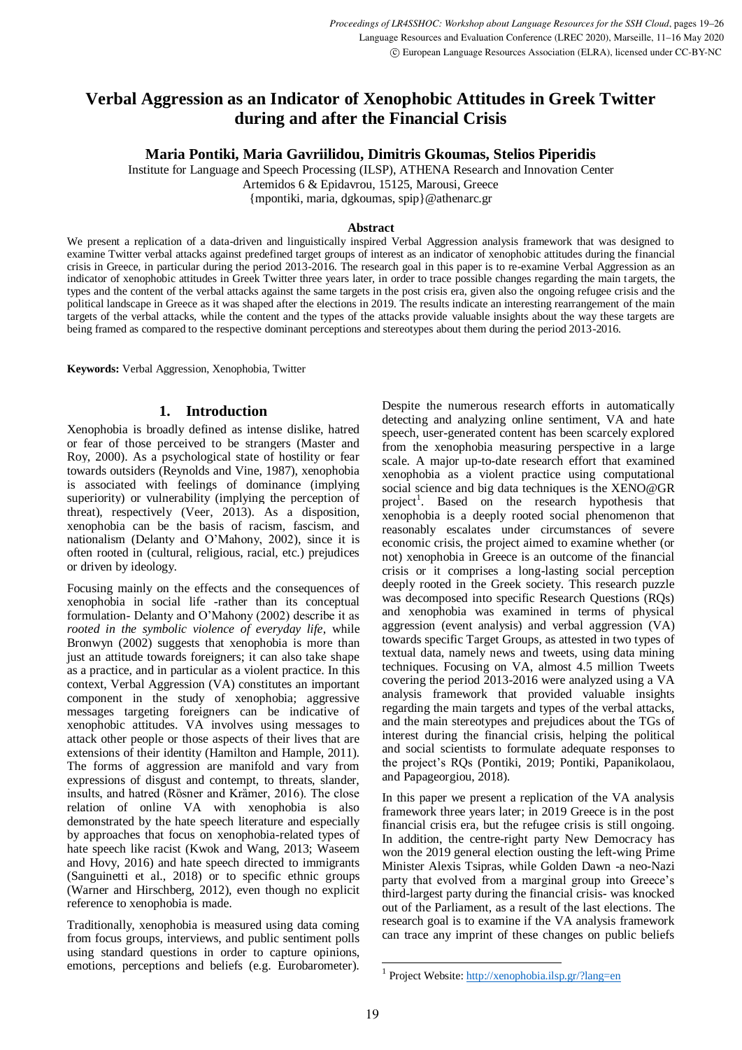# **Verbal Aggression as an Indicator of Xenophobic Attitudes in Greek Twitter during and after the Financial Crisis**

**Maria Pontiki, Maria Gavriilidou, Dimitris Gkoumas, Stelios Piperidis**

Institute for Language and Speech Processing (ILSP), ATHENA Research and Innovation Center

Artemidos 6 & Epidavrou, 15125, Marousi, Greece

{mpontiki, maria, dgkoumas, spip}@athenarc.gr

#### **Abstract**

We present a replication of a data-driven and linguistically inspired Verbal Aggression analysis framework that was designed to examine Twitter verbal attacks against predefined target groups of interest as an indicator of xenophobic attitudes during the financial crisis in Greece, in particular during the period 2013-2016. The research goal in this paper is to re-examine Verbal Aggression as an indicator of xenophobic attitudes in Greek Twitter three years later, in order to trace possible changes regarding the main targets, the types and the content of the verbal attacks against the same targets in the post crisis era, given also the ongoing refugee crisis and the political landscape in Greece as it was shaped after the elections in 2019. The results indicate an interesting rearrangement of the main targets of the verbal attacks, while the content and the types of the attacks provide valuable insights about the way these targets are being framed as compared to the respective dominant perceptions and stereotypes about them during the period 2013-2016.

**Keywords:** Verbal Aggression, Xenophobia, Twitter

## **1. Introduction**

Xenophobia is broadly defined as intense dislike, hatred or fear of those perceived to be strangers (Master and Roy, 2000). As a psychological state of hostility or fear towards outsiders (Reynolds and Vine, 1987), xenophobia is associated with feelings of dominance (implying superiority) or vulnerability (implying the perception of threat), respectively (Veer, 2013). As a disposition, xenophobia can be the basis of racism, fascism, and nationalism (Delanty and O'Mahony, 2002), since it is often rooted in (cultural, religious, racial, etc.) prejudices or driven by ideology.

Focusing mainly on the effects and the consequences of xenophobia in social life -rather than its conceptual formulation- Delanty and O'Mahony (2002) describe it as *rooted in the symbolic violence of everyday life*, while Bronwyn (2002) suggests that xenophobia is more than just an attitude towards foreigners; it can also take shape as a practice, and in particular as a violent practice. In this context, Verbal Aggression (VA) constitutes an important component in the study of xenophobia; aggressive messages targeting foreigners can be indicative of xenophobic attitudes. VA involves using messages to attack other people or those aspects of their lives that are extensions of their identity (Hamilton and Hample, 2011). The forms of aggression are manifold and vary from expressions of disgust and contempt, to threats, slander, insults, and hatred (Rösner and Krämer, 2016). The close relation of online VA with xenophobia is also demonstrated by the hate speech literature and especially by approaches that focus on xenophobia-related types of hate speech like racist (Kwok and Wang, 2013; Waseem and Hovy, 2016) and hate speech directed to immigrants (Sanguinetti et al., 2018) or to specific ethnic groups (Warner and Hirschberg, 2012), even though no explicit reference to xenophobia is made.

Traditionally, xenophobia is measured using data coming from focus groups, interviews, and public sentiment polls using standard questions in order to capture opinions, emotions, perceptions and beliefs (e.g. Eurobarometer). Despite the numerous research efforts in automatically detecting and analyzing online sentiment, VA and hate speech, user-generated content has been scarcely explored from the xenophobia measuring perspective in a large scale. A major up-to-date research effort that examined xenophobia as a violent practice using computational social science and big data techniques is the XENO@GR project<sup>1</sup>. Based on the research hypothesis that xenophobia is a deeply rooted social phenomenon that reasonably escalates under circumstances of severe economic crisis, the project aimed to examine whether (or not) xenophobia in Greece is an outcome of the financial crisis or it comprises a long-lasting social perception deeply rooted in the Greek society. This research puzzle was decomposed into specific Research Questions (RQs) and xenophobia was examined in terms of physical aggression (event analysis) and verbal aggression (VA) towards specific Target Groups, as attested in two types of textual data, namely news and tweets, using data mining techniques. Focusing on VA, almost 4.5 million Tweets covering the period 2013-2016 were analyzed using a VA analysis framework that provided valuable insights regarding the main targets and types of the verbal attacks, and the main stereotypes and prejudices about the TGs of interest during the financial crisis, helping the political and social scientists to formulate adequate responses to the project's RQs (Pontiki, 2019; Pontiki, Papanikolaou, and Papageorgiou, 2018).

In this paper we present a replication of the VA analysis framework three years later; in 2019 Greece is in the post financial crisis era, but the refugee crisis is still ongoing. In addition, the centre-right party New Democracy has won the 2019 general election ousting the left*-*wing Prime Minister Alexis Tsipras, while Golden Dawn -a neo-Nazi party that evolved from a marginal group into Greece's third-largest party during the financial crisis- was knocked out of the Parliament, as a result of the last elections. The research goal is to examine if the VA analysis framework can trace any imprint of these changes on public beliefs

-

<sup>&</sup>lt;sup>1</sup> Project Website[: http://xenophobia.ilsp.gr/?lang=en](http://xenophobia.ilsp.gr/?lang=en)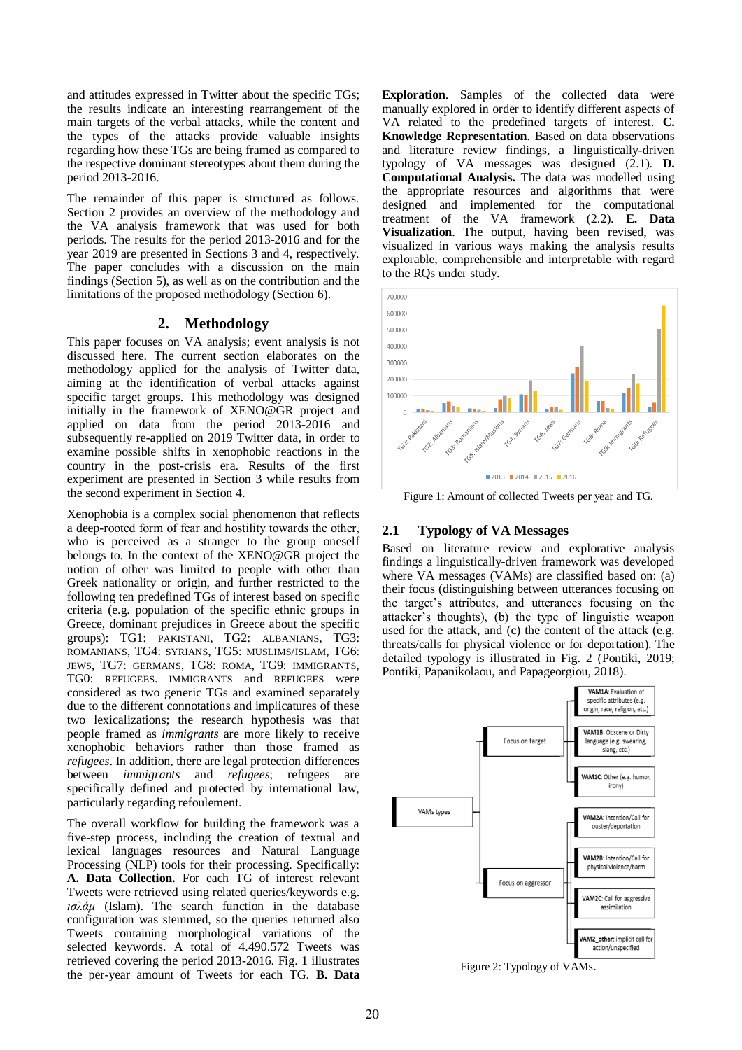and attitudes expressed in Twitter about the specific TGs; the results indicate an interesting rearrangement of the main targets of the verbal attacks, while the content and the types of the attacks provide valuable insights regarding how these TGs are being framed as compared to the respective dominant stereotypes about them during the period 2013-2016.

The remainder of this paper is structured as follows. Section 2 provides an overview of the methodology and the VA analysis framework that was used for both periods. The results for the period 2013-2016 and for the year 2019 are presented in Sections 3 and 4, respectively. The paper concludes with a discussion on the main findings (Section 5), as well as on the contribution and the limitations of the proposed methodology (Section 6).

## **2. Methodology**

This paper focuses on VA analysis; event analysis is not discussed here. The current section elaborates on the methodology applied for the analysis of Twitter data, aiming at the identification of verbal attacks against specific target groups. This methodology was designed initially in the framework of XENO@GR project and applied on data from the period 2013-2016 and subsequently re-applied on 2019 Twitter data, in order to examine possible shifts in xenophobic reactions in the country in the post-crisis era. Results of the first experiment are presented in Section 3 while results from the second experiment in Section 4.

Xenophobia is a complex social phenomenon that reflects a deep-rooted form of fear and hostility towards the οther, who is perceived as a stranger to the group oneself belongs to. In the context of the XENO@GR project the notion of other was limited to people with other than Greek nationality or origin, and further restricted to the following ten predefined TGs of interest based on specific criteria (e.g. population of the specific ethnic groups in Greece, dominant prejudices in Greece about the specific groups): TG1: PAKISTANI, TG2: ALBANIANS, TG3: ROMANIANS, TG4: SYRIANS, TG5: MUSLIMS/ISLAM, TG6: JEWS, TG7: GERMANS, TG8: ROMA, TG9: IMMIGRANTS, TG0: REFUGEES. IMMIGRANTS and REFUGEES were considered as two generic TGs and examined separately due to the different connotations and implicatures of these two lexicalizations; the research hypothesis was that people framed as *immigrants* are more likely to receive xenophobic behaviors rather than those framed as *refugees*. In addition, there are legal protection differences between *immigrants* and *refugees*; refugees are specifically defined and protected by international law, particularly regarding refoulement.

The overall workflow for building the framework was a five-step process, including the creation of textual and lexical languages resources and Natural Language Processing (NLP) tools for their processing. Specifically: **A. Data Collection.** For each TG of interest relevant Tweets were retrieved using related queries/keywords e.g. *ισλάμ* (Islam). The search function in the database configuration was stemmed, so the queries returned also Tweets containing morphological variations of the selected keywords. A total of 4.490.572 Tweets was retrieved covering the period 2013-2016. Fig. 1 illustrates the per-year amount of Tweets for each TG. **B. Data** 

**Exploration.** Samples of the collected data were manually explored in order to identify different aspects of VA related to the predefined targets of interest. **C. Knowledge Representation**. Based on data observations and literature review findings, a linguistically-driven typology of VA messages was designed (2.1). **D. Computational Analysis.** The data was modelled using the appropriate resources and algorithms that were designed and implemented for the computational treatment of the VA framework (2.2). **E. Data Visualization**. The output, having been revised, was visualized in various ways making the analysis results explorable, comprehensible and interpretable with regard to the RQs under study.



Figure 1: Amount of collected Tweets per year and TG.

## **2.1 Typology of VA Messages**

Based on literature review and explorative analysis findings a linguistically-driven framework was developed where VA messages (VAMs) are classified based on: (a) their focus (distinguishing between utterances focusing on the target's attributes, and utterances focusing on the attacker's thoughts), (b) the type of linguistic weapon used for the attack, and (c) the content of the attack (e.g. threats/calls for physical violence or for deportation). The detailed typology is illustrated in Fig. 2 (Pontiki, 2019; Pontiki, Papanikolaou, and Papageorgiou, 2018).



Figure 2: Typology of VAMs.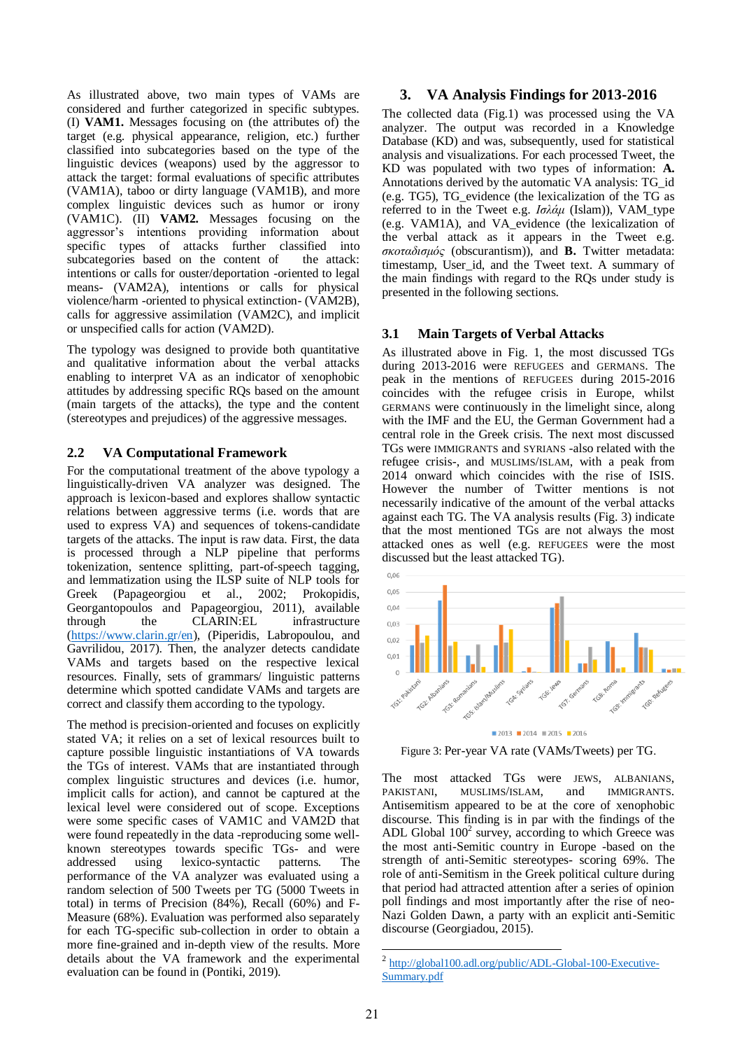As illustrated above, two main types of VAMs are considered and further categorized in specific subtypes. (I) **VAM1.** Messages focusing on (the attributes of) the target (e.g. physical appearance, religion, etc.) further classified into subcategories based on the type of the linguistic devices (weapons) used by the aggressor to attack the target: formal evaluations of specific attributes (VAM1A), taboo or dirty language (VAM1B), and more complex linguistic devices such as humor or irony (VAM1C). (II) **VAM2.** Messages focusing on the aggressor's intentions providing information about specific types of attacks further classified into subcategories based on the content of the attack: intentions or calls for ouster/deportation -oriented to legal means- (VAM2A), intentions or calls for physical violence/harm -oriented to physical extinction- (VAM2B), calls for aggressive assimilation (VAM2C), and implicit or unspecified calls for action (VAM2D).

The typology was designed to provide both quantitative and qualitative information about the verbal attacks enabling to interpret VA as an indicator of xenophobic attitudes by addressing specific RQs based on the amount (main targets of the attacks), the type and the content (stereotypes and prejudices) of the aggressive messages.

## **2.2 VA Computational Framework**

For the computational treatment of the above typology a linguistically-driven VA analyzer was designed. The approach is lexicon-based and explores shallow syntactic relations between aggressive terms (i.e. words that are used to express VA) and sequences of tokens-candidate targets of the attacks. The input is raw data. First, the data is processed through a NLP pipeline that performs tokenization, sentence splitting, part-of-speech tagging, and lemmatization using the ILSP suite of NLP tools for Greek (Papageorgiou et al., 2002; Prokopidis, Georgantopoulos and Papageorgiou, 2011), available through the CLARIN:EL infrastructure [\(https://www.clarin.gr/en\)](https://www.clarin.gr/en), [\(Piperidis, Labropoulou, a](http://www.ilsp.gr/en/research/publications?view=member&id=51&task=show)nd [Gavrilidou,](http://www.ilsp.gr/en/research/publications?view=member&id=15&task=show) 2017). Then, the analyzer detects candidate VAMs and targets based on the respective lexical resources. Finally, sets of grammars/ linguistic patterns determine which spotted candidate VAMs and targets are correct and classify them according to the typology.

The method is precision-oriented and focuses on explicitly stated VA; it relies on a set of lexical resources built to capture possible linguistic instantiations of VA towards the TGs of interest. VAMs that are instantiated through complex linguistic structures and devices (i.e. humor, implicit calls for action), and cannot be captured at the lexical level were considered out of scope. Exceptions were some specific cases of VAM1C and VAM2D that were found repeatedly in the data -reproducing some wellknown stereotypes towards specific TGs- and were addressed using lexico-syntactic patterns. The performance of the VA analyzer was evaluated using a random selection of 500 Tweets per TG (5000 Tweets in total) in terms of Precision (84%), Recall (60%) and F-Measure (68%). Evaluation was performed also separately for each TG-specific sub-collection in order to obtain a more fine-grained and in-depth view of the results. More details about the VA framework and the experimental evaluation can be found in (Pontiki, 2019).

## **3. VA Analysis Findings for 2013-2016**

The collected data (Fig.1) was processed using the VA analyzer. The output was recorded in a Knowledge Database (KD) and was, subsequently, used for statistical analysis and visualizations. For each processed Tweet, the KD was populated with two types of information: **A.** Annotations derived by the automatic VA analysis: TG\_id (e.g. TG5), TG\_evidence (the lexicalization of the TG as referred to in the Tweet e.g. *Ισλάμ* (Islam)), VAM\_type (e.g. VAM1A), and VA\_evidence (the lexicalization of the verbal attack as it appears in the Tweet e.g. *σκοταδισμός* (obscurantism)), and **B.** Twitter metadata: timestamp, User\_id, and the Tweet text. A summary of the main findings with regard to the RQs under study is presented in the following sections.

## **3.1 Main Targets of Verbal Attacks**

As illustrated above in Fig. 1, the most discussed TGs during 2013-2016 were REFUGEES and GERMANS. The peak in the mentions of REFUGEES during 2015-2016 coincides with the refugee crisis in Europe, whilst GERMANS were continuously in the limelight since, along with the IMF and the EU, the German Government had a central role in the Greek crisis. The next most discussed TGs were IMMIGRANTS and SYRIANS -also related with the refugee crisis-, and MUSLIMS/ISLAM, with a peak from 2014 onward which coincides with the rise of ISIS. However the number of Twitter mentions is not necessarily indicative of the amount of the verbal attacks against each TG. The VA analysis results (Fig. 3) indicate that the most mentioned TGs are not always the most attacked ones as well (e.g. REFUGEES were the most discussed but the least attacked TG).



Figure 3: Per-year VA rate (VAMs/Tweets) per TG.

The most attacked TGs were JEWS, ALBANIANS, PAKISTANI, MUSLIMS/ISLAM, and IMMIGRANTS. Antisemitism appeared to be at the core of xenophobic discourse. This finding is in par with the findings of the ADL Global  $100<sup>2</sup>$  survey, according to which Greece was the most anti-Semitic country in Europe -based on the strength of anti-Semitic stereotypes- scoring 69%. The role of anti-Semitism in the Greek political culture during that period had attracted attention after a series of opinion poll findings and most importantly after the rise of neo-Nazi Golden Dawn, a party with an explicit anti-Semitic discourse (Georgiadou, 2015).

 2 [http://global100.adl.org/public/ADL-Global-100-Executive-](http://global100.adl.org/public/ADL-Global-100-Executive-Summary.pdf)[Summary.pdf](http://global100.adl.org/public/ADL-Global-100-Executive-Summary.pdf)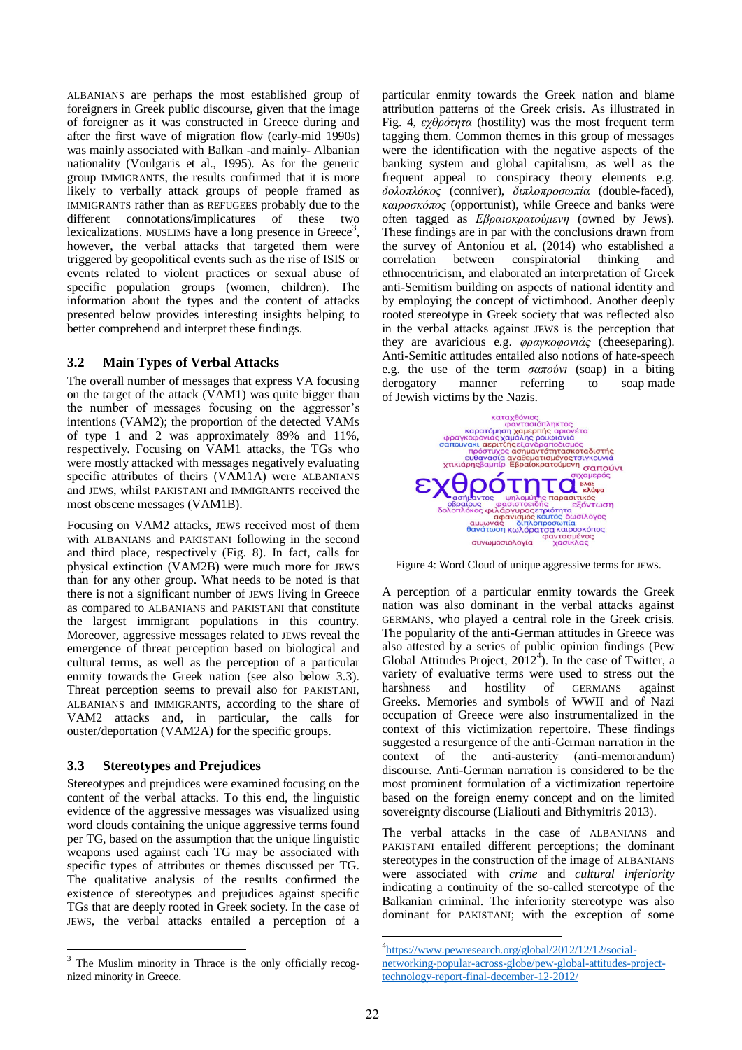ALBANIANS are perhaps the most established group of foreigners in Greek public discourse, given that the image of foreigner as it was constructed in Greece during and after the first wave of migration flow (early-mid 1990s) was mainly associated with Balkan -and mainly- Albanian nationality (Voulgaris et al., 1995). As for the generic group IMMIGRANTS, the results confirmed that it is more likely to verbally attack groups of people framed as IMMIGRANTS rather than as REFUGEES probably due to the different connotations/implicatures of these two lexicalizations. MUSLIMS have a long presence in Greece<sup>3</sup>, however, the verbal attacks that targeted them were triggered by geopolitical events such as the rise of ISIS or events related to violent practices or sexual abuse of specific population groups (women, children). The information about the types and the content of attacks presented below provides interesting insights helping to better comprehend and interpret these findings.

## **3.2 Main Types of Verbal Attacks**

The overall number of messages that express VA focusing on the target of the attack (VAM1) was quite bigger than the number of messages focusing on the aggressor's intentions (VAM2); the proportion of the detected VAMs of type 1 and 2 was approximately 89% and 11%, respectively. Focusing on VAM1 attacks, the TGs who were mostly attacked with messages negatively evaluating specific attributes of theirs (VAM1A) were ALBANIANS and JEWS, whilst PAKISTANI and IMMIGRANTS received the most obscene messages (VAM1B).

Focusing on VAM2 attacks, JEWS received most of them with ALBANIANS and PAKISTANI following in the second and third place, respectively (Fig. 8). In fact, calls for physical extinction (VAM2B) were much more for JEWS than for any other group. What needs to be noted is that there is not a significant number of JEWS living in Greece as compared to ALBANIANS and PAKISTANI that constitute the largest immigrant populations in this country. Moreover, aggressive messages related to JEWS reveal the emergence of threat perception based on biological and cultural terms, as well as the perception of a particular enmity towards the Greek nation (see also below 3.3). Threat perception seems to prevail also for PAKISTANI, ALBANIANS and IMMIGRANTS, according to the share of VAM2 attacks and, in particular, the calls for ouster/deportation (VAM2A) for the specific groups.

## **3.3 Stereotypes and Prejudices**

Stereotypes and prejudices were examined focusing on the content of the verbal attacks. To this end, the linguistic evidence of the aggressive messages was visualized using word clouds containing the unique aggressive terms found per TG, based on the assumption that the unique linguistic weapons used against each TG may be associated with specific types of attributes or themes discussed per TG. The qualitative analysis of the results confirmed the existence of stereotypes and prejudices against specific TGs that are deeply rooted in Greek society. In the case of JEWS, the verbal attacks entailed a perception of a particular enmity towards the Greek nation and blame attribution patterns of the Greek crisis. As illustrated in Fig. 4, *εχθρότητα* (hostility) was the most frequent term tagging them. Common themes in this group of messages were the identification with the negative aspects of the banking system and global capitalism, as well as the frequent appeal to conspiracy theory elements e.g. *δολοπλόκος* (conniver), *διπλοπροσωπία* (double-faced), *καιροσκόπος* (opportunist), while Greece and banks were often tagged as *Εβραιοκρατούμενη* (owned by Jews). These findings are in par with the conclusions drawn from the survey of Antoniou et al. (2014) who established a correlation between conspiratorial thinking and ethnocentricism, and elaborated an interpretation of Greek anti-Semitism building on aspects of national identity and by employing the concept of victimhood. Another deeply rooted stereotype in Greek society that was reflected also in the verbal attacks against JEWS is the perception that they are avaricious e.g. *φραγκοφονιάς* (cheeseparing). Anti-Semitic attitudes entailed also notions of hate-speech e.g. the use of the term *σαπούνι* (soap) in a biting derogatory manner referring to soap made of Jewish victims by the Nazis.



Figure 4: Word Cloud of unique aggressive terms for JEWS.

A perception of a particular enmity towards the Greek nation was also dominant in the verbal attacks against GERMANS, who played a central role in the Greek crisis. The popularity of the anti-German attitudes in Greece was also attested by a series of public opinion findings (Pew Global Attitudes Project,  $2012<sup>4</sup>$ ). In the case of Twitter, a variety of evaluative terms were used to stress out the harshness and hostility of GERMANS against Greeks. Memories and symbols of WWII and of Nazi occupation of Greece were also instrumentalized in the context of this victimization repertoire. These findings suggested a resurgence of the anti-German narration in the context of the anti-austerity (anti-memorandum) discourse. Anti-German narration is considered to be the most prominent formulation of a victimization repertoire based on the foreign enemy concept and on the limited sovereignty discourse (Lialiouti and Bithymitris 2013).

The verbal attacks in the case of ALBANIANS and PAKISTANI entailed different perceptions; the dominant stereotypes in the construction of the image of ALBANIANS were associated with *crime* and *cultural inferiority* indicating a continuity of the so-called stereotype of the Balkanian criminal. The inferiority stereotype was also dominant for PAKISTANI; with the exception of some

1

<sup>&</sup>lt;sup>3</sup> The Muslim minority in Thrace is the only officially recognized minority in Greece.

<sup>4</sup> [https://www.pewresearch.org/global/2012/12/12/social](https://www.pewresearch.org/global/2012/12/12/social-networking-popular-across-globe/pew-global-attitudes-project-technology-report-final-december-12-2012/)[networking-popular-across-globe/pew-global-attitudes-project](https://www.pewresearch.org/global/2012/12/12/social-networking-popular-across-globe/pew-global-attitudes-project-technology-report-final-december-12-2012/)[technology-report-final-december-12-2012/](https://www.pewresearch.org/global/2012/12/12/social-networking-popular-across-globe/pew-global-attitudes-project-technology-report-final-december-12-2012/)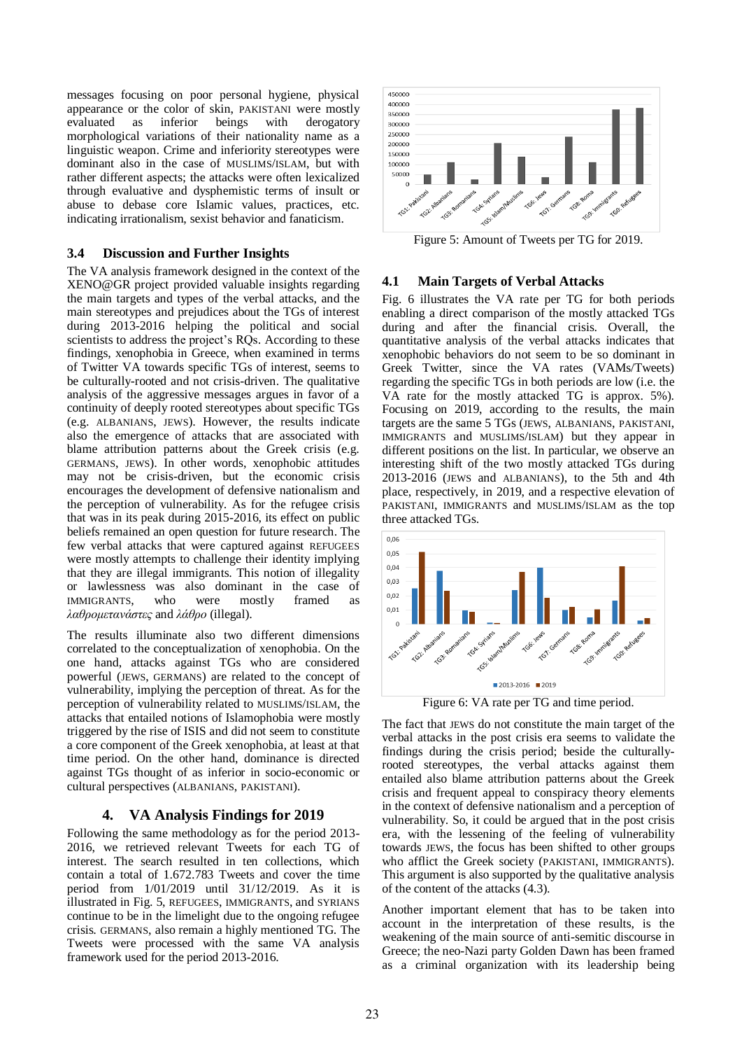messages focusing on poor personal hygiene, physical appearance or the color of skin, PAKISTANI were mostly evaluated as inferior beings with derogatory morphological variations of their nationality name as a linguistic weapon. Crime and inferiority stereotypes were dominant also in the case of MUSLIMS/ISLAM, but with rather different aspects; the attacks were often lexicalized through evaluative and dysphemistic terms of insult or abuse to debase core Islamic values, practices, etc. indicating irrationalism, sexist behavior and fanaticism.

#### **3.4 Discussion and Further Insights**

The VA analysis framework designed in the context of the XENO@GR project provided valuable insights regarding the main targets and types of the verbal attacks, and the main stereotypes and prejudices about the TGs of interest during 2013-2016 helping the political and social scientists to address the project's RQs. According to these findings, xenophobia in Greece, when examined in terms of Twitter VA towards specific TGs of interest, seems to be culturally-rooted and not crisis-driven. The qualitative analysis of the aggressive messages argues in favor of a continuity of deeply rooted stereotypes about specific TGs (e.g. ALBANIANS, JEWS). However, the results indicate also the emergence of attacks that are associated with blame attribution patterns about the Greek crisis (e.g. GERMANS, JEWS). In other words, xenophobic attitudes may not be crisis-driven, but the economic crisis encourages the development of defensive nationalism and the perception of vulnerability. As for the refugee crisis that was in its peak during 2015-2016, its effect on public beliefs remained an open question for future research. The few verbal attacks that were captured against REFUGEES were mostly attempts to challenge their identity implying that they are illegal immigrants. This notion of illegality or lawlessness was also dominant in the case of IMMIGRANTS, who were mostly framed as *λαθρομετανάστες* and *λάθρο* (illegal).

The results illuminate also two different dimensions correlated to the conceptualization of xenophobia. On the one hand, attacks against TGs who are considered powerful (JEWS, GERMANS) are related to the concept of vulnerability, implying the perception of threat. As for the perception of vulnerability related to MUSLIMS/ISLAM, the attacks that entailed notions of Islamophobia were mostly triggered by the rise of ISIS and did not seem to constitute a core component of the Greek xenophobia, at least at that time period. On the other hand, dominance is directed against TGs thought of as inferior in socio-economic or cultural perspectives (ALBANIANS, PAKISTANI).

#### **4. VA Analysis Findings for 2019**

Following the same methodology as for the period 2013- 2016, we retrieved relevant Tweets for each TG of interest. The search resulted in ten collections, which contain a total of 1.672.783 Tweets and cover the time period from 1/01/2019 until 31/12/2019. As it is illustrated in Fig. 5, REFUGEES, IMMIGRANTS, and SYRIANS continue to be in the limelight due to the ongoing refugee crisis. GERMANS, also remain a highly mentioned TG. The Tweets were processed with the same VA analysis framework used for the period 2013-2016.



Figure 5: Amount of Tweets per TG for 2019.

#### **4.1 Main Targets of Verbal Attacks**

Fig. 6 illustrates the VA rate per TG for both periods enabling a direct comparison of the mostly attacked TGs during and after the financial crisis. Overall, the quantitative analysis of the verbal attacks indicates that xenophobic behaviors do not seem to be so dominant in Greek Twitter, since the VA rates (VAMs/Tweets) regarding the specific TGs in both periods are low (i.e. the VA rate for the mostly attacked TG is approx. 5%). Focusing on 2019, according to the results, the main targets are the same 5 TGs (JEWS, ALBANIANS, PAKISTANI, IMMIGRANTS and MUSLIMS/ISLAM) but they appear in different positions on the list. In particular, we observe an interesting shift of the two mostly attacked TGs during 2013-2016 (JEWS and ALBANIANS), to the 5th and 4th place, respectively, in 2019, and a respective elevation of PAKISTANI, IMMIGRANTS and MUSLIMS/ISLAM as the top three attacked TGs.



Figure 6: VA rate per TG and time period.

The fact that JEWS do not constitute the main target of the verbal attacks in the post crisis era seems to validate the findings during the crisis period; beside the culturallyrooted stereotypes, the verbal attacks against them entailed also blame attribution patterns about the Greek crisis and frequent appeal to conspiracy theory elements in the context of defensive nationalism and a perception of vulnerability. So, it could be argued that in the post crisis era, with the lessening of the feeling of vulnerability towards JEWS, the focus has been shifted to other groups who afflict the Greek society (PAKISTANI, IMMIGRANTS). This argument is also supported by the qualitative analysis of the content of the attacks (4.3).

Another important element that has to be taken into account in the interpretation of these results, is the weakening of the main source of anti-semitic discourse in Greece; the neo-Nazi party Golden Dawn has been framed as a criminal organization with its leadership being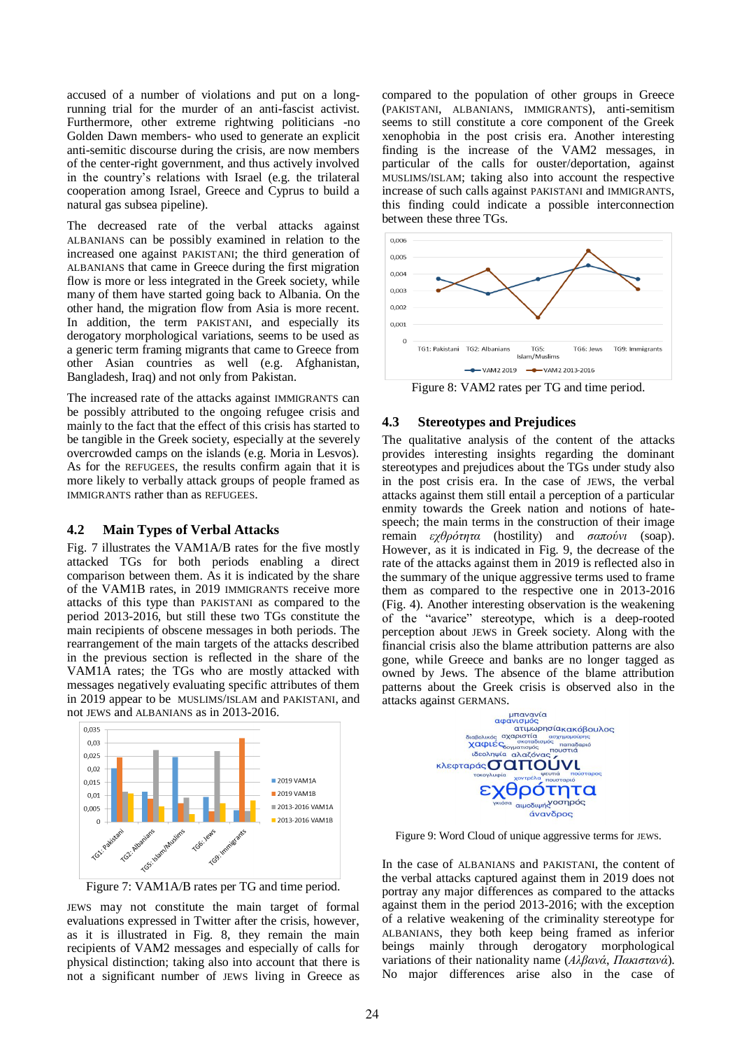accused of a number of violations and put on a longrunning trial for the murder of an anti-fascist activist. Furthermore, other extreme rightwing politicians -no Golden Dawn members- who used to generate an explicit anti-semitic discourse during the crisis, are now members of the center-right government, and thus actively involved in the country's relations with Israel (e.g. the trilateral cooperation among Israel*,* Greece and Cyprus to build a natural gas subsea pipeline).

The decreased rate of the verbal attacks against ALBANIANS can be possibly examined in relation to the increased one against PAKISTANI; the third generation of ALBANIANS that came in Greece during the first migration flow is more or less integrated in the Greek society, while many of them have started going back to Albania. On the other hand, the migration flow from Asia is more recent. In addition, the term PAKISTANI, and especially its derogatory morphological variations, seems to be used as a generic term framing migrants that came to Greece from other Asian countries as well (e.g. Afghanistan, Bangladesh, Iraq) and not only from Pakistan.

The increased rate of the attacks against IMMIGRANTS can be possibly attributed to the ongoing refugee crisis and mainly to the fact that the effect of this crisis has started to be tangible in the Greek society, especially at the severely overcrowded camps on the islands (e.g. Moria in Lesvos). As for the REFUGEES, the results confirm again that it is more likely to verbally attack groups of people framed as IMMIGRANTS rather than as REFUGEES.

#### **4.2 Main Types of Verbal Attacks**

Fig. 7 illustrates the VAM1A/B rates for the five mostly attacked TGs for both periods enabling a direct comparison between them. As it is indicated by the share of the VAM1B rates, in 2019 IMMIGRANTS receive more attacks of this type than PAKISTANI as compared to the period 2013-2016, but still these two TGs constitute the main recipients of obscene messages in both periods. The rearrangement of the main targets of the attacks described in the previous section is reflected in the share of the VAM1A rates; the TGs who are mostly attacked with messages negatively evaluating specific attributes of them in 2019 appear to be MUSLIMS/ISLAM and PAKISTANI, and not JEWS and ALBANIANS as in 2013-2016.



Figure 7: VAM1A/B rates per TG and time period.

JEWS may not constitute the main target of formal evaluations expressed in Twitter after the crisis, however, as it is illustrated in Fig. 8, they remain the main recipients of VAM2 messages and especially of calls for physical distinction; taking also into account that there is not a significant number of JEWS living in Greece as

compared to the population of other groups in Greece (PAKISTANI, ALBANIANS, IMMIGRANTS), anti-semitism seems to still constitute a core component of the Greek xenophobia in the post crisis era. Another interesting finding is the increase of the VAM2 messages, in particular of the calls for ouster/deportation, against MUSLIMS/ISLAM; taking also into account the respective increase of such calls against PAKISTANI and IMMIGRANTS, this finding could indicate a possible interconnection between these three TGs.



Figure 8: VAM2 rates per TG and time period.

#### **4.3 Stereotypes and Prejudices**

The qualitative analysis of the content of the attacks provides interesting insights regarding the dominant stereotypes and prejudices about the TGs under study also in the post crisis era. In the case of JEWS, the verbal attacks against them still entail a perception of a particular enmity towards the Greek nation and notions of hatespeech; the main terms in the construction of their image remain *εχθρότητα* (hostility) and *σαπούνι* (soap). However, as it is indicated in Fig. 9, the decrease of the rate of the attacks against them in 2019 is reflected also in the summary of the unique aggressive terms used to frame them as compared to the respective one in 2013-2016 (Fig. 4). Another interesting observation is the weakening of the "avarice" stereotype, which is a deep-rooted perception about JEWS in Greek society. Along with the financial crisis also the blame attribution patterns are also gone, while Greece and banks are no longer tagged as owned by Jews. The absence of the blame attribution patterns about the Greek crisis is observed also in the



Figure 9: Word Cloud of unique aggressive terms for JEWS.

In the case of ALBANIANS and PAKISTANI, the content of the verbal attacks captured against them in 2019 does not portray any major differences as compared to the attacks against them in the period 2013-2016; with the exception of a relative weakening of the criminality stereotype for ALBANIANS, they both keep being framed as inferior beings mainly through derogatory morphological variations of their nationality name (*Αλβανά*, *Πακιστανά*). No major differences arise also in the case of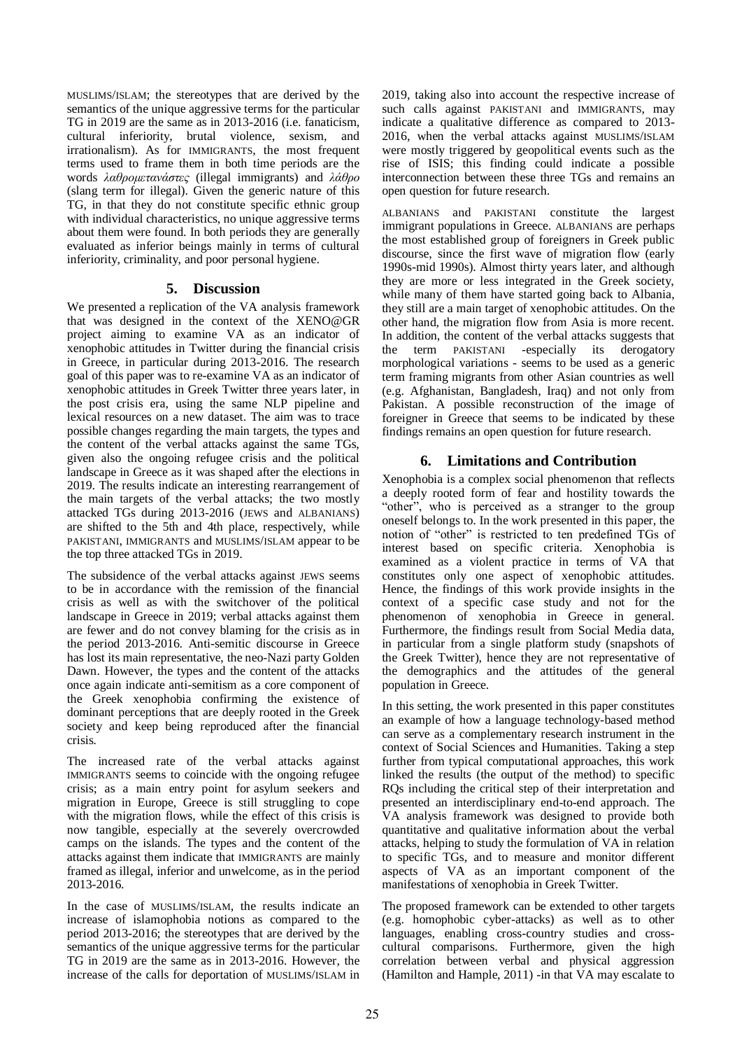MUSLIMS/ISLAM; the stereotypes that are derived by the semantics of the unique aggressive terms for the particular TG in 2019 are the same as in 2013-2016 (i.e. fanaticism, cultural inferiority, brutal violence, sexism, and irrationalism). As for IMMIGRANTS, the most frequent terms used to frame them in both time periods are the words *λαθρομετανάστες* (illegal immigrants) and *λάθρο* (slang term for illegal). Given the generic nature of this TG, in that they do not constitute specific ethnic group with individual characteristics, no unique aggressive terms about them were found. In both periods they are generally evaluated as inferior beings mainly in terms of cultural inferiority, criminality, and poor personal hygiene.

## **5. Discussion**

We presented a replication of the VA analysis framework that was designed in the context of the XENO@GR project aiming to examine VA as an indicator of xenophobic attitudes in Twitter during the financial crisis in Greece, in particular during 2013-2016. The research goal of this paper was to re-examine VA as an indicator of xenophobic attitudes in Greek Twitter three years later, in the post crisis era, using the same NLP pipeline and lexical resources on a new dataset. The aim was to trace possible changes regarding the main targets, the types and the content of the verbal attacks against the same TGs, given also the ongoing refugee crisis and the political landscape in Greece as it was shaped after the elections in 2019. The results indicate an interesting rearrangement of the main targets of the verbal attacks; the two mostly attacked TGs during 2013-2016 (JEWS and ALBANIANS) are shifted to the 5th and 4th place, respectively, while PAKISTANI, IMMIGRANTS and MUSLIMS/ISLAM appear to be the top three attacked TGs in 2019.

The subsidence of the verbal attacks against JEWS seems to be in accordance with the remission of the financial crisis as well as with the switchover of the political landscape in Greece in 2019; verbal attacks against them are fewer and do not convey blaming for the crisis as in the period 2013-2016. Anti-semitic discourse in Greece has lost its main representative, the neo-Nazi party Golden Dawn. However, the types and the content of the attacks once again indicate anti-semitism as a core component of the Greek xenophobia confirming the existence of dominant perceptions that are deeply rooted in the Greek society and keep being reproduced after the financial crisis.

The increased rate of the verbal attacks against IMMIGRANTS seems to coincide with the ongoing refugee crisis; as a main entry point for asylum seekers and migration in Europe, Greece is still struggling to cope with the migration flows, while the effect of this crisis is now tangible, especially at the severely overcrowded camps on the islands. The types and the content of the attacks against them indicate that IMMIGRANTS are mainly framed as illegal, inferior and unwelcome, as in the period 2013-2016.

In the case of MUSLIMS/ISLAM, the results indicate an increase of islamophobia notions as compared to the period 2013-2016; the stereotypes that are derived by the semantics of the unique aggressive terms for the particular TG in 2019 are the same as in 2013-2016. However, the increase of the calls for deportation of MUSLIMS/ISLAM in

2019, taking also into account the respective increase of such calls against PAKISTANI and IMMIGRANTS, may indicate a qualitative difference as compared to 2013- 2016, when the verbal attacks against MUSLIMS/ISLAM were mostly triggered by geopolitical events such as the rise of ISIS; this finding could indicate a possible interconnection between these three TGs and remains an open question for future research.

ALBANIANS and PAKISTANI constitute the largest immigrant populations in Greece. ALBANIANS are perhaps the most established group of foreigners in Greek public discourse, since the first wave of migration flow (early 1990s-mid 1990s). Almost thirty years later, and although they are more or less integrated in the Greek society, while many of them have started going back to Albania, they still are a main target of xenophobic attitudes. On the other hand, the migration flow from Asia is more recent. In addition, the content of the verbal attacks suggests that the term PAKISTANI -especially its derogatory morphological variations - seems to be used as a generic term framing migrants from other Asian countries as well (e.g. Afghanistan, Bangladesh, Iraq) and not only from Pakistan. A possible reconstruction of the image of foreigner in Greece that seems to be indicated by these findings remains an open question for future research.

## **6. Limitations and Contribution**

Xenophobia is a complex social phenomenon that reflects a deeply rooted form of fear and hostility towards the "οther", who is perceived as a stranger to the group oneself belongs to. In the work presented in this paper, the notion of "other" is restricted to ten predefined TGs of interest based on specific criteria. Xenophobia is examined as a violent practice in terms of VA that constitutes only one aspect of xenophobic attitudes. Hence, the findings of this work provide insights in the context of a specific case study and not for the phenomenon of xenophobia in Greece in general. Furthermore, the findings result from Social Media data, in particular from a single platform study (snapshots of the Greek Twitter), hence they are not representative of the demographics and the attitudes of the general population in Greece.

In this setting, the work presented in this paper constitutes an example of how a language technology-based method can serve as a complementary research instrument in the context of Social Sciences and Humanities. Taking a step further from typical computational approaches, this work linked the results (the output of the method) to specific RQs including the critical step of their interpretation and presented an interdisciplinary end-to-end approach. The VA analysis framework was designed to provide both quantitative and qualitative information about the verbal attacks, helping to study the formulation of VA in relation to specific TGs, and to measure and monitor different aspects of VA as an important component of the manifestations of xenophobia in Greek Twitter.

The proposed framework can be extended to other targets (e.g. homophobic cyber-attacks) as well as to other languages, enabling cross-country studies and crosscultural comparisons. Furthermore, given the high correlation between verbal and physical aggression (Hamilton and Hample, 2011) -in that VA may escalate to